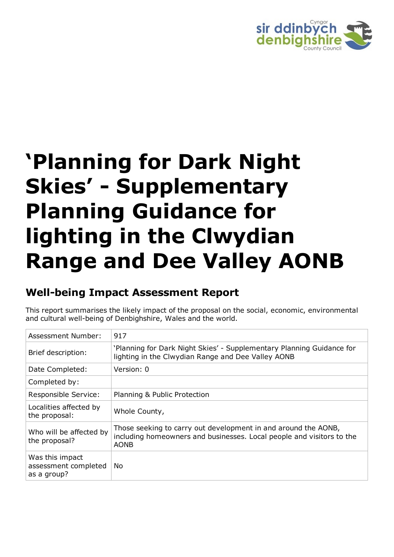

# **'Planning for Dark Night Skies' - Supplementary Planning Guidance for lighting in the Clwydian Range and Dee Valley AONB**

# **Well-being Impact Assessment Report**

This report summarises the likely impact of the proposal on the social, economic, environmental and cultural well-being of Denbighshire, Wales and the world.

| Assessment Number:                                     | 917                                                                                                                                                    |
|--------------------------------------------------------|--------------------------------------------------------------------------------------------------------------------------------------------------------|
| Brief description:                                     | 'Planning for Dark Night Skies' - Supplementary Planning Guidance for<br>lighting in the Clwydian Range and Dee Valley AONB                            |
| Date Completed:                                        | Version: 0                                                                                                                                             |
| Completed by:                                          |                                                                                                                                                        |
| Responsible Service:                                   | Planning & Public Protection                                                                                                                           |
| Localities affected by<br>the proposal:                | Whole County,                                                                                                                                          |
| Who will be affected by<br>the proposal?               | Those seeking to carry out development in and around the AONB,<br>including homeowners and businesses. Local people and visitors to the<br><b>AONB</b> |
| Was this impact<br>assessment completed<br>as a group? | No                                                                                                                                                     |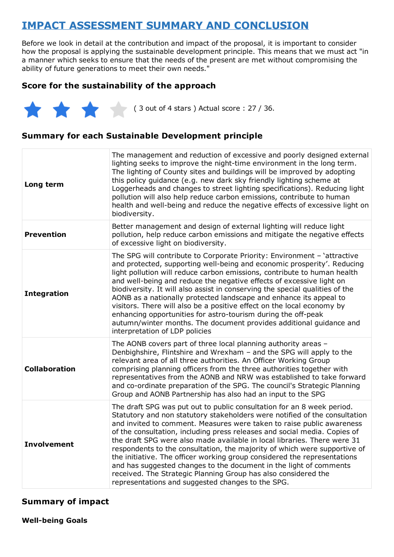## **IMPACT ASSESSMENT SUMMARY AND CONCLUSION**

Before we look in detail at the contribution and impact of the proposal, it is important to consider how the proposal is applying the sustainable development principle. This means that we must act "in a manner which seeks to ensure that the needs of the present are met without compromising the ability of future generations to meet their own needs."

#### **Score for the sustainability of the approach**

 $(3 \text{ out of 4 stars})$  Actual score : 27 / 36.

#### **Summary for each Sustainable Development principle**

| Long term            | The management and reduction of excessive and poorly designed external<br>lighting seeks to improve the night-time environment in the long term.<br>The lighting of County sites and buildings will be improved by adopting<br>this policy guidance (e.g. new dark sky friendly lighting scheme at<br>Loggerheads and changes to street lighting specifications). Reducing light<br>pollution will also help reduce carbon emissions, contribute to human<br>health and well-being and reduce the negative effects of excessive light on<br>biodiversity.                                                                                                                                                                                    |
|----------------------|----------------------------------------------------------------------------------------------------------------------------------------------------------------------------------------------------------------------------------------------------------------------------------------------------------------------------------------------------------------------------------------------------------------------------------------------------------------------------------------------------------------------------------------------------------------------------------------------------------------------------------------------------------------------------------------------------------------------------------------------|
| <b>Prevention</b>    | Better management and design of external lighting will reduce light<br>pollution, help reduce carbon emissions and mitigate the negative effects<br>of excessive light on biodiversity.                                                                                                                                                                                                                                                                                                                                                                                                                                                                                                                                                      |
| <b>Integration</b>   | The SPG will contribute to Corporate Priority: Environment - 'attractive<br>and protected, supporting well-being and economic prosperity'. Reducing<br>light pollution will reduce carbon emissions, contribute to human health<br>and well-being and reduce the negative effects of excessive light on<br>biodiversity. It will also assist in conserving the special qualities of the<br>AONB as a nationally protected landscape and enhance its appeal to<br>visitors. There will also be a positive effect on the local economy by<br>enhancing opportunities for astro-tourism during the off-peak<br>autumn/winter months. The document provides additional guidance and<br>interpretation of LDP policies                            |
| <b>Collaboration</b> | The AONB covers part of three local planning authority areas -<br>Denbighshire, Flintshire and Wrexham - and the SPG will apply to the<br>relevant area of all three authorities. An Officer Working Group<br>comprising planning officers from the three authorities together with<br>representatives from the AONB and NRW was established to take forward<br>and co-ordinate preparation of the SPG. The council's Strategic Planning<br>Group and AONB Partnership has also had an input to the SPG                                                                                                                                                                                                                                      |
| <b>Involvement</b>   | The draft SPG was put out to public consultation for an 8 week period.<br>Statutory and non statutory stakeholders were notified of the consultation<br>and invited to comment. Measures were taken to raise public awareness<br>of the consultation, including press releases and social media. Copies of<br>the draft SPG were also made available in local libraries. There were 31<br>respondents to the consultation, the majority of which were supportive of<br>the initiative. The officer working group considered the representations<br>and has suggested changes to the document in the light of comments<br>received. The Strategic Planning Group has also considered the<br>representations and suggested changes to the SPG. |

#### **Summary of impact**

**Well-being Goals**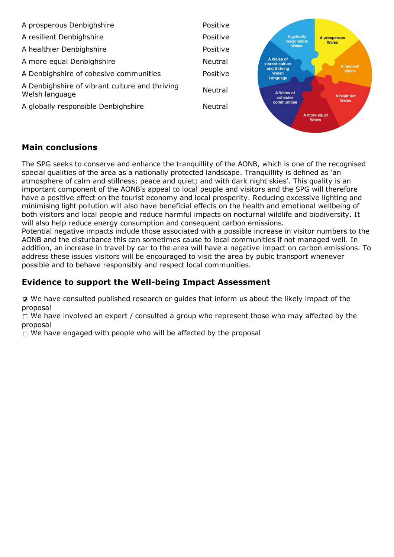

#### **Main conclusions**

The SPG seeks to conserve and enhance the tranquillity of the AONB, which is one of the recognised special qualities of the area as a nationally protected landscape. Tranquillity is defined as 'an atmosphere of calm and stillness; peace and quiet; and with dark night skies'. This quality is an important component of the AONB's appeal to local people and visitors and the SPG will therefore have a positive effect on the tourist economy and local prosperity. Reducing excessive lighting and minimising light pollution will also have beneficial effects on the health and emotional wellbeing of both visitors and local people and reduce harmful impacts on nocturnal wildlife and biodiversity. It will also help reduce energy consumption and consequent carbon emissions.

Potential negative impacts include those associated with a possible increase in visitor numbers to the AONB and the disturbance this can sometimes cause to local communities if not managed well. In addition, an increase in travel by car to the area will have a negative impact on carbon emissions. To address these issues visitors will be encouraged to visit the area by pubic transport whenever possible and to behave responsibly and respect local communities.

#### **Evidence to support the Well-being Impact Assessment**

We have consulted published research or guides that inform us about the likely impact of the proposal

 $\Box$  We have involved an expert / consulted a group who represent those who may affected by the proposal

 $\Box$  We have engaged with people who will be affected by the proposal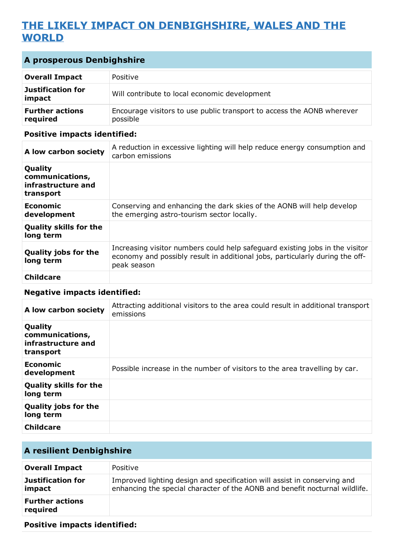## **THE LIKELY IMPACT ON DENBIGHSHIRE, WALES AND THE WORLD**

| A prosperous Denbighshire                                     |                                                                                                                                                                             |
|---------------------------------------------------------------|-----------------------------------------------------------------------------------------------------------------------------------------------------------------------------|
| <b>Overall Impact</b>                                         | Positive                                                                                                                                                                    |
| <b>Justification for</b><br>impact                            | Will contribute to local economic development                                                                                                                               |
| <b>Further actions</b><br>required                            | Encourage visitors to use public transport to access the AONB wherever<br>possible                                                                                          |
| <b>Positive impacts identified:</b>                           |                                                                                                                                                                             |
| A low carbon society                                          | A reduction in excessive lighting will help reduce energy consumption and<br>carbon emissions                                                                               |
| Quality<br>communications,<br>infrastructure and<br>transport |                                                                                                                                                                             |
| <b>Economic</b><br>development                                | Conserving and enhancing the dark skies of the AONB will help develop<br>the emerging astro-tourism sector locally.                                                         |
| <b>Quality skills for the</b><br>long term                    |                                                                                                                                                                             |
| Quality jobs for the<br>long term                             | Increasing visitor numbers could help safeguard existing jobs in the visitor<br>economy and possibly result in additional jobs, particularly during the off-<br>peak season |
| <b>Childcare</b>                                              |                                                                                                                                                                             |

#### **Negative impacts identified:**

| A low carbon society                                          | Attracting additional visitors to the area could result in additional transport<br>emissions |
|---------------------------------------------------------------|----------------------------------------------------------------------------------------------|
| Quality<br>communications,<br>infrastructure and<br>transport |                                                                                              |
| Economic<br>development                                       | Possible increase in the number of visitors to the area travelling by car.                   |
| <b>Quality skills for the</b><br>long term                    |                                                                                              |
| <b>Quality jobs for the</b><br>long term                      |                                                                                              |
| <b>Childcare</b>                                              |                                                                                              |

## **A resilient Denbighshire**

| <b>Overall Impact</b>              | Positive                                                                                                                                                |
|------------------------------------|---------------------------------------------------------------------------------------------------------------------------------------------------------|
| <b>Justification for</b><br>impact | Improved lighting design and specification will assist in conserving and<br>enhancing the special character of the AONB and benefit nocturnal wildlife. |
| <b>Further actions</b><br>required |                                                                                                                                                         |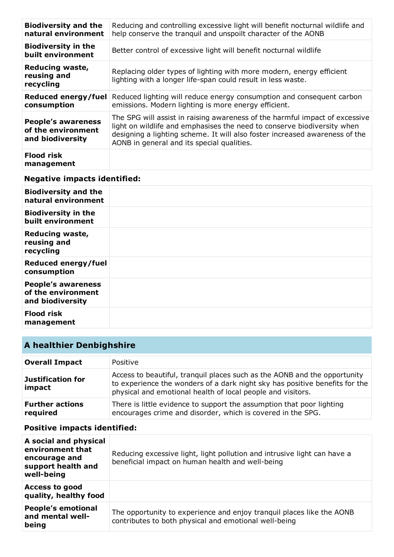| <b>Biodiversity and the</b><br>natural environment                  | Reducing and controlling excessive light will benefit nocturnal wildlife and<br>help conserve the tranquil and unspoilt character of the AONB                                                                                                                                       |
|---------------------------------------------------------------------|-------------------------------------------------------------------------------------------------------------------------------------------------------------------------------------------------------------------------------------------------------------------------------------|
| <b>Biodiversity in the</b><br>built environment                     | Better control of excessive light will benefit nocturnal wildlife                                                                                                                                                                                                                   |
| <b>Reducing waste,</b><br>reusing and<br>recycling                  | Replacing older types of lighting with more modern, energy efficient<br>lighting with a longer life-span could result in less waste.                                                                                                                                                |
| Reduced energy/fuel<br>consumption                                  | Reduced lighting will reduce energy consumption and consequent carbon<br>emissions. Modern lighting is more energy efficient.                                                                                                                                                       |
| <b>People's awareness</b><br>of the environment<br>and biodiversity | The SPG will assist in raising awareness of the harmful impact of excessive<br>light on wildlife and emphasises the need to conserve biodiversity when<br>designing a lighting scheme. It will also foster increased awareness of the<br>AONB in general and its special qualities. |
| <b>Flood risk</b><br>management                                     |                                                                                                                                                                                                                                                                                     |

| <b>Biodiversity and the</b><br>natural environment                  |  |
|---------------------------------------------------------------------|--|
| <b>Biodiversity in the</b><br>built environment                     |  |
| Reducing waste,<br>reusing and<br>recycling                         |  |
| Reduced energy/fuel<br>consumption                                  |  |
| <b>People's awareness</b><br>of the environment<br>and biodiversity |  |
| <b>Flood risk</b><br>management                                     |  |

## **A healthier Denbighshire**

| <b>Overall Impact</b>              | Positive                                                                                                                                                                                                                |
|------------------------------------|-------------------------------------------------------------------------------------------------------------------------------------------------------------------------------------------------------------------------|
| Justification for<br>impact        | Access to beautiful, tranguil places such as the AONB and the opportunity<br>to experience the wonders of a dark night sky has positive benefits for the<br>physical and emotional health of local people and visitors. |
| <b>Further actions</b><br>required | There is little evidence to support the assumption that poor lighting<br>encourages crime and disorder, which is covered in the SPG.                                                                                    |

| A social and physical<br>environment that<br>encourage and<br>support health and<br>well-being | Reducing excessive light, light pollution and intrusive light can have a<br>beneficial impact on human health and well-being   |
|------------------------------------------------------------------------------------------------|--------------------------------------------------------------------------------------------------------------------------------|
| <b>Access to good</b><br>quality, healthy food                                                 |                                                                                                                                |
| <b>People's emotional</b><br>and mental well-<br>being                                         | The opportunity to experience and enjoy tranguil places like the AONB<br>contributes to both physical and emotional well-being |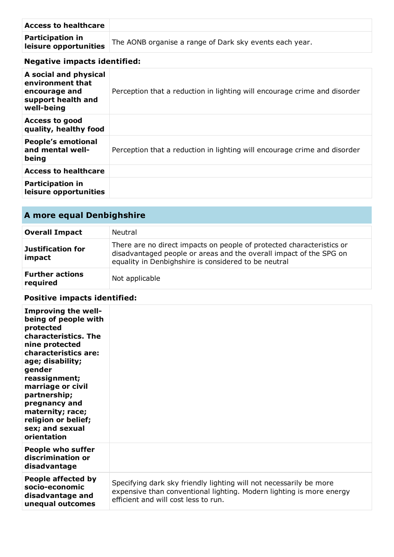| <b>Access to healthcare</b>                      |                                                         |
|--------------------------------------------------|---------------------------------------------------------|
| <b>Participation in</b><br>leisure opportunities | The AONB organise a range of Dark sky events each year. |

| A social and physical<br>environment that<br>encourage and<br>support health and<br>well-being | Perception that a reduction in lighting will encourage crime and disorder |
|------------------------------------------------------------------------------------------------|---------------------------------------------------------------------------|
| Access to good<br>quality, healthy food                                                        |                                                                           |
| <b>People's emotional</b><br>and mental well-<br>being                                         | Perception that a reduction in lighting will encourage crime and disorder |
| <b>Access to healthcare</b>                                                                    |                                                                           |
| <b>Participation in</b><br>leisure opportunities                                               |                                                                           |

# **A more equal Denbighshire**

| <b>Overall Impact</b>              | Neutral                                                                                                                                                                                             |
|------------------------------------|-----------------------------------------------------------------------------------------------------------------------------------------------------------------------------------------------------|
| Justification for<br>impact        | There are no direct impacts on people of protected characteristics or<br>disadvantaged people or areas and the overall impact of the SPG on<br>equality in Denbighshire is considered to be neutral |
| <b>Further actions</b><br>required | Not applicable                                                                                                                                                                                      |

| <b>Improving the well-</b><br>being of people with<br>protected<br>characteristics. The<br>nine protected<br>characteristics are:<br>age; disability;<br>gender<br>reassignment;<br>marriage or civil<br>partnership;<br>pregnancy and<br>maternity; race;<br>religion or belief;<br>sex; and sexual<br>orientation |                                                                                                                                                                                    |
|---------------------------------------------------------------------------------------------------------------------------------------------------------------------------------------------------------------------------------------------------------------------------------------------------------------------|------------------------------------------------------------------------------------------------------------------------------------------------------------------------------------|
| <b>People who suffer</b><br>discrimination or<br>disadvantage                                                                                                                                                                                                                                                       |                                                                                                                                                                                    |
| People affected by<br>socio-economic<br>disadvantage and<br>unequal outcomes                                                                                                                                                                                                                                        | Specifying dark sky friendly lighting will not necessarily be more<br>expensive than conventional lighting. Modern lighting is more energy<br>efficient and will cost less to run. |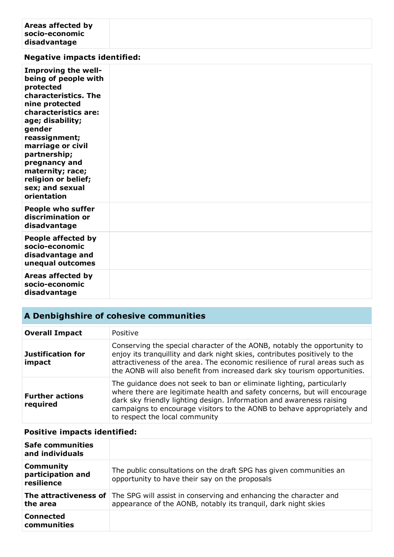| Areas affected by<br>socio-economic<br>disadvantage                                                                                                                                                                                                                                                                 |  |
|---------------------------------------------------------------------------------------------------------------------------------------------------------------------------------------------------------------------------------------------------------------------------------------------------------------------|--|
| <b>Negative impacts identified:</b>                                                                                                                                                                                                                                                                                 |  |
| <b>Improving the well-</b><br>being of people with<br>protected<br>characteristics. The<br>nine protected<br>characteristics are:<br>age; disability;<br>gender<br>reassignment;<br>marriage or civil<br>partnership;<br>pregnancy and<br>maternity; race;<br>religion or belief;<br>sex; and sexual<br>orientation |  |
| <b>People who suffer</b><br>discrimination or<br>disadvantage                                                                                                                                                                                                                                                       |  |
| People affected by<br>socio-economic<br>disadvantage and<br>unequal outcomes                                                                                                                                                                                                                                        |  |
| Areas affected by<br>socio-economic<br>disadvantage                                                                                                                                                                                                                                                                 |  |

## **A Denbighshire of cohesive communities**

| <b>Overall Impact</b>              | Positive                                                                                                                                                                                                                                                                                                                                |
|------------------------------------|-----------------------------------------------------------------------------------------------------------------------------------------------------------------------------------------------------------------------------------------------------------------------------------------------------------------------------------------|
| <b>Justification for</b><br>impact | Conserving the special character of the AONB, notably the opportunity to<br>enjoy its tranquillity and dark night skies, contributes positively to the<br>attractiveness of the area. The economic resilience of rural areas such as<br>the AONB will also benefit from increased dark sky tourism opportunities.                       |
| <b>Further actions</b><br>required | The guidance does not seek to ban or eliminate lighting, particularly<br>where there are legitimate health and safety concerns, but will encourage<br>dark sky friendly lighting design. Information and awareness raising<br>campaigns to encourage visitors to the AONB to behave appropriately and<br>to respect the local community |

| <b>Safe communities</b><br>and individuals          |                                                                                                                                     |
|-----------------------------------------------------|-------------------------------------------------------------------------------------------------------------------------------------|
| <b>Community</b><br>participation and<br>resilience | The public consultations on the draft SPG has given communities an<br>opportunity to have their say on the proposals                |
| The attractiveness of<br>the area                   | The SPG will assist in conserving and enhancing the character and<br>appearance of the AONB, notably its tranquil, dark night skies |
| <b>Connected</b><br>communities                     |                                                                                                                                     |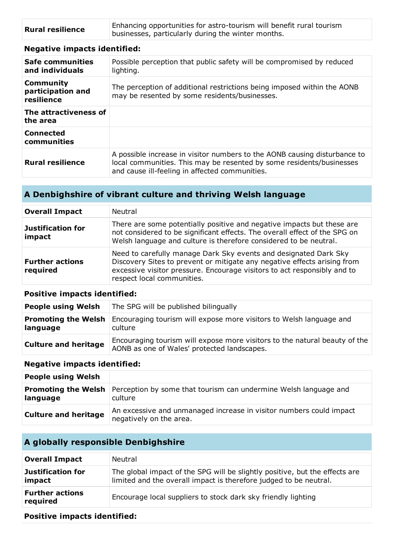| <b>Rural resilience</b> | Enhancing opportunities for astro-tourism will benefit rural tourism<br>businesses, particularly during the winter months. |
|-------------------------|----------------------------------------------------------------------------------------------------------------------------|
|                         |                                                                                                                            |

| <b>Safe communities</b><br>and individuals          | Possible perception that public safety will be compromised by reduced<br>lighting.                                                                                                                  |
|-----------------------------------------------------|-----------------------------------------------------------------------------------------------------------------------------------------------------------------------------------------------------|
| <b>Community</b><br>participation and<br>resilience | The perception of additional restrictions being imposed within the AONB<br>may be resented by some residents/businesses.                                                                            |
| The attractiveness of<br>the area                   |                                                                                                                                                                                                     |
| <b>Connected</b><br>communities                     |                                                                                                                                                                                                     |
| <b>Rural resilience</b>                             | A possible increase in visitor numbers to the AONB causing disturbance to<br>local communities. This may be resented by some residents/businesses<br>and cause ill-feeling in affected communities. |

## **A Denbighshire of vibrant culture and thriving Welsh language**

| <b>Overall Impact</b>              | Neutral                                                                                                                                                                                                                                                |
|------------------------------------|--------------------------------------------------------------------------------------------------------------------------------------------------------------------------------------------------------------------------------------------------------|
| <b>Justification for</b><br>impact | There are some potentially positive and negative impacts but these are<br>not considered to be significant effects. The overall effect of the SPG on<br>Welsh language and culture is therefore considered to be neutral.                              |
| <b>Further actions</b><br>required | Need to carefully manage Dark Sky events and designated Dark Sky<br>Discovery Sites to prevent or mitigate any negative effects arising from<br>excessive visitor pressure. Encourage visitors to act responsibly and to<br>respect local communities. |

#### **Positive impacts identified:**

| <b>People using Welsh</b>              | The SPG will be published bilingually                                                                                     |
|----------------------------------------|---------------------------------------------------------------------------------------------------------------------------|
| <b>Promoting the Welsh</b><br>language | Encouraging tourism will expose more visitors to Welsh language and<br>culture                                            |
| <b>Culture and heritage</b>            | Encouraging tourism will expose more visitors to the natural beauty of the<br>AONB as one of Wales' protected landscapes. |

#### **Negative impacts identified:**

| <b>People using Welsh</b>   |                                                                                                        |
|-----------------------------|--------------------------------------------------------------------------------------------------------|
| language                    | <b>Promoting the Welsh</b> Perception by some that tourism can undermine Welsh language and<br>culture |
| <b>Culture and heritage</b> | An excessive and unmanaged increase in visitor numbers could impact<br>negatively on the area.         |

## **A globally responsible Denbighshire**

| <b>Overall Impact</b>              | Neutral                                                                                                                                          |
|------------------------------------|--------------------------------------------------------------------------------------------------------------------------------------------------|
| Justification for<br>impact        | The global impact of the SPG will be slightly positive, but the effects are<br>limited and the overall impact is therefore judged to be neutral. |
| <b>Further actions</b><br>required | Encourage local suppliers to stock dark sky friendly lighting                                                                                    |